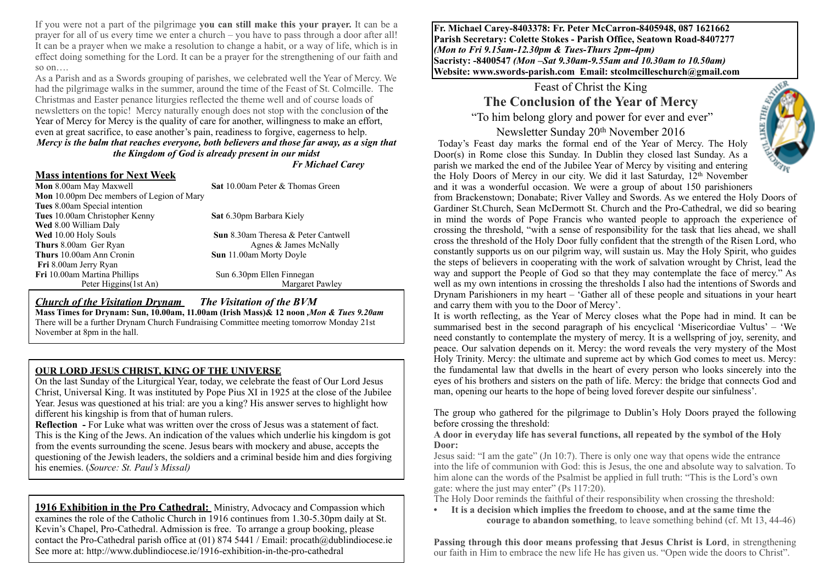If you were not a part of the pilgrimage **you can still make this your prayer.** It can be a prayer for all of us every time we enter a church – you have to pass through a door after all! It can be a prayer when we make a resolution to change a habit, or a way of life, which is in effect doing something for the Lord. It can be a prayer for the strengthening of our faith and so on

As a Parish and as a Swords grouping of parishes, we celebrated well the Year of Mercy. We had the pilgrimage walks in the summer, around the time of the Feast of St. Colmcille. The Christmas and Easter penance liturgies reflected the theme well and of course loads of newsletters on the topic! Mercy naturally enough does not stop with the conclusion of the Year of Mercy for Mercy is the quality of care for another, willingness to make an effort, even at great sacrifice, to ease another's pain, readiness to forgive, eagerness to help. *Mercy is the balm that reaches everyone, both believers and those far away, as a sign that the Kingdom of God is already present in our midst* 

*Fr Michael Carey* 

**Mass intentions for Next Week Sat 10.00am Peter & Thomas Green Mon** 10.00pm Dec members of Legion of Mary **Tues** 8.00am Special intention **Tues** 10.00am Christopher Kenny **Sat** 6.30pm Barbara Kiely **Wed** 8.00 William Daly **Wed** 10.00 Holy Souls **Sun** 8.30am Theresa & Peter Cantwell **Thurs** 8.00am Ger Ryan Agnes & James McNally **Thurs** 10.00am Ann Cronin **Sun** 11.00am Morty Doyle **Fri** 8.00am Jerry Ryan **Fri** 10.00am Martina Phillips Sun 6.30pm Ellen Finnegan Peter Higgins(1st An) Margaret Pawley

*Church of the Visitation Drynam**The Visitation of the BVM*

**Mass Times for Drynam: Sun, 10.00am, 11.00am (Irish Mass)& 12 noon** *,Mon & Tues 9.20am*  There will be a further Drynam Church Fundraising Committee meeting tomorrow Monday 21st November at 8pm in the hall.

#### **OUR LORD JESUS CHRIST, KING OF THE UNIVERSE**

On the last Sunday of the Liturgical Year, today, we celebrate the feast of Our Lord Jesus Christ, Universal King. It was instituted by Pope Pius XI in 1925 at the close of the Jubilee Year. Jesus was questioned at his trial: are you a king? His answer serves to highlight how different his kingship is from that of human rulers.

**Reflection -** For Luke what was written over the cross of Jesus was a statement of fact. This is the King of the Jews. An indication of the values which underlie his kingdom is got from the events surrounding the scene. Jesus bears with mockery and abuse, accepts the questioning of the Jewish leaders, the soldiers and a criminal beside him and dies forgiving his enemies. (*Source: St. Paul's Missal)*

**1916 Exhibition in the Pro Cathedral:** Ministry, Advocacy and Compassion which examines the role of the Catholic Church in 1916 continues from 1.30-5.30pm daily at St. Kevin's Chapel, Pro-Cathedral. Admission is free. To arrange a group booking, please contact the Pro-Cathedral parish office at (01) 874 5441 / Email: procath@dublindiocese.ie See more at: http://www.dublindiocese.ie/1916-exhibition-in-the-pro-cathedral

**Fr. Michael Carey-8403378: Fr. Peter McCarron-8405948, 087 1621662 Parish Secretary: Colette Stokes - Parish Office, Seatown Road-8407277**  *(Mon to Fri 9.15am-12.30pm & Tues-Thurs 2pm-4pm)*  **Sacristy: -8400547** *(Mon –Sat 9.30am-9.55am and 10.30am to 10.50am)* **Website: [www.swords-parish.com Email:](http://www.swords-parish.com%20%20email) stcolmcilleschurch@gmail.com**

# Feast of Christ the King **The Conclusion of the Year of Mercy**

"To him belong glory and power for ever and ever"

Newsletter Sunday 20th November 2016 Today's Feast day marks the formal end of the Year of Mercy. The Holy Door(s) in Rome close this Sunday. In Dublin they closed last Sunday. As a parish we marked the end of the Jubilee Year of Mercy by visiting and entering the Holy Doors of Mercy in our city. We did it last Saturday, 12th November



and it was a wonderful occasion. We were a group of about 150 parishioners from Brackenstown; Donabate; River Valley and Swords. As we entered the Holy Doors of Gardiner St.Church, Sean McDermott St. Church and the Pro-Cathedral, we did so bearing in mind the words of Pope Francis who wanted people to approach the experience of crossing the threshold, "with a sense of responsibility for the task that lies ahead, we shall cross the threshold of the Holy Door fully confident that the strength of the Risen Lord, who constantly supports us on our pilgrim way, will sustain us. May the Holy Spirit, who guides the steps of believers in cooperating with the work of salvation wrought by Christ, lead the way and support the People of God so that they may contemplate the face of mercy." As well as my own intentions in crossing the thresholds I also had the intentions of Swords and Drynam Parishioners in my heart – 'Gather all of these people and situations in your heart and carry them with you to the Door of Mercy'.

It is worth reflecting, as the Year of Mercy closes what the Pope had in mind. It can be summarised best in the second paragraph of his encyclical 'Misericordiae Vultus' – 'We need constantly to contemplate the mystery of mercy. It is a wellspring of joy, serenity, and peace. Our salvation depends on it. Mercy: the word reveals the very mystery of the Most Holy Trinity. Mercy: the ultimate and supreme act by which God comes to meet us. Mercy: the fundamental law that dwells in the heart of every person who looks sincerely into the eyes of his brothers and sisters on the path of life. Mercy: the bridge that connects God and man, opening our hearts to the hope of being loved forever despite our sinfulness'.

The group who gathered for the pilgrimage to Dublin's Holy Doors prayed the following before crossing the threshold:

#### **A door in everyday life has several functions, all repeated by the symbol of the Holy Door:**

Jesus said: "I am the gate" (Jn 10:7). There is only one way that opens wide the entrance into the life of communion with God: this is Jesus, the one and absolute way to salvation. To him alone can the words of the Psalmist be applied in full truth: "This is the Lord's own gate: where the just may enter" (Ps 117:20).

The Holy Door reminds the faithful of their responsibility when crossing the threshold:

**• It is a decision which implies the freedom to choose, and at the same time the courage to abandon something**, to leave something behind (cf. Mt 13, 44-46)

**Passing through this door means professing that Jesus Christ is Lord**, in strengthening our faith in Him to embrace the new life He has given us. "Open wide the doors to Christ".